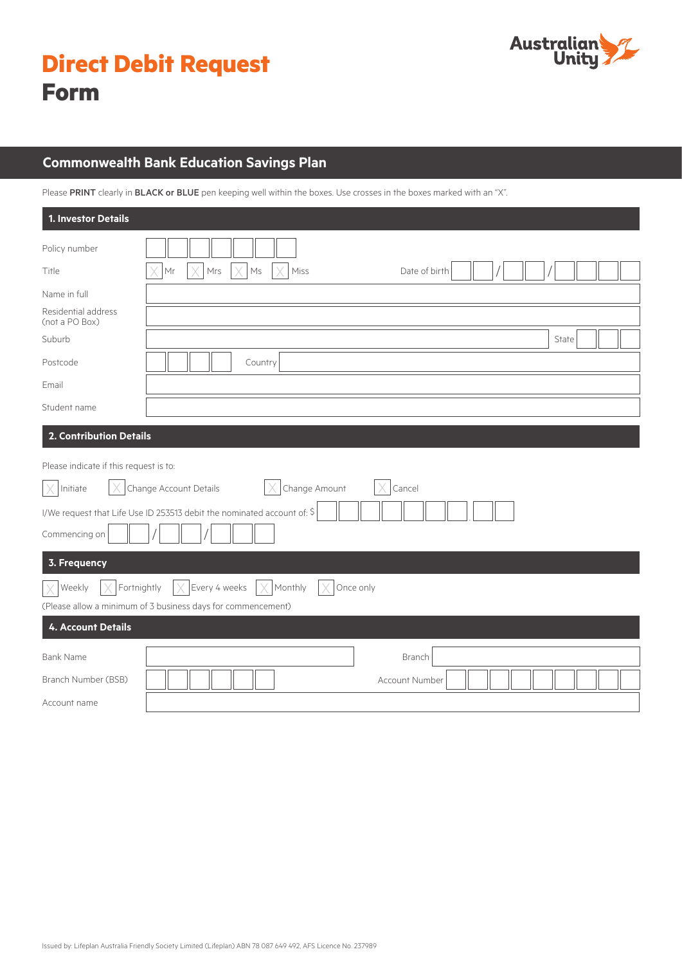| <b>Direct Debit Request</b> |  |  |
|-----------------------------|--|--|
| <b>Form</b>                 |  |  |



## **Commonwealth Bank Education Savings Plan**

Please PRINT clearly in BLACK or BLUE pen keeping well within the boxes. Use crosses in the boxes marked with an "X".

| 1. Investor Details                                                          |                                                                         |  |  |  |
|------------------------------------------------------------------------------|-------------------------------------------------------------------------|--|--|--|
| Policy number                                                                |                                                                         |  |  |  |
| Title                                                                        | Mr<br>Mrs<br>$\mathsf{M}\mathsf{s}$<br>Miss<br>Date of birth            |  |  |  |
| Name in full                                                                 |                                                                         |  |  |  |
| Residential address<br>(not a PO Box)                                        |                                                                         |  |  |  |
| Suburb                                                                       | State                                                                   |  |  |  |
| Postcode                                                                     | Country                                                                 |  |  |  |
| Email                                                                        |                                                                         |  |  |  |
| Student name                                                                 |                                                                         |  |  |  |
| 2. Contribution Details                                                      |                                                                         |  |  |  |
| Please indicate if this request is to:                                       |                                                                         |  |  |  |
| Change Account Details<br>Change Amount<br>Cancel<br>X<br>Initiate           |                                                                         |  |  |  |
|                                                                              | I/We request that Life Use ID 253513 debit the nominated account of: \$ |  |  |  |
| Commencing on                                                                |                                                                         |  |  |  |
| 3. Frequency                                                                 |                                                                         |  |  |  |
| Fortnightly<br>$\times$ Every 4 weeks<br>Monthly<br>Once only<br>Weekly<br>X |                                                                         |  |  |  |
| (Please allow a minimum of 3 business days for commencement)                 |                                                                         |  |  |  |
| <b>4. Account Details</b>                                                    |                                                                         |  |  |  |
| <b>Bank Name</b>                                                             | Branch                                                                  |  |  |  |
| Branch Number (BSB)                                                          | Account Number                                                          |  |  |  |
| Account name                                                                 |                                                                         |  |  |  |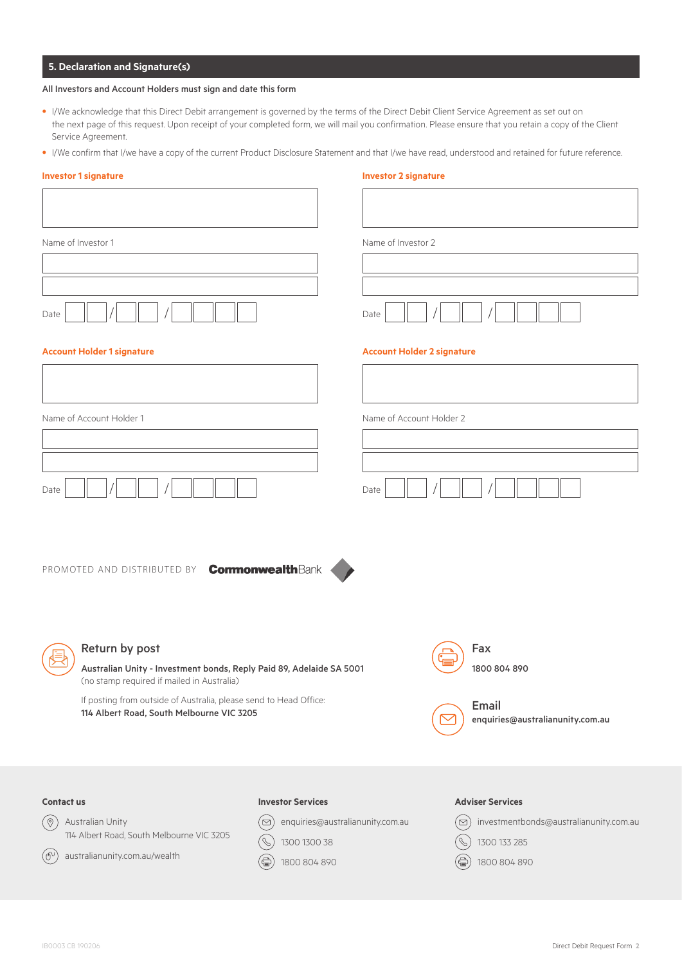## **5. Declaration and Signature(s)**

### All Investors and Account Holders must sign and date this form

- I/We acknowledge that this Direct Debit arrangement is governed by the terms of the Direct Debit Client Service Agreement as set out on the next page of this request. Upon receipt of your completed form, we will mail you confirmation. Please ensure that you retain a copy of the Client Service Agreement.
- I/We confirm that I/we have a copy of the current Product Disclosure Statement and that I/we have read, understood and retained for future reference.

| <b>Investor 1 signature</b>                                                                                                                                                                                                                            |                          | <b>Investor 2 signature</b>                                      |
|--------------------------------------------------------------------------------------------------------------------------------------------------------------------------------------------------------------------------------------------------------|--------------------------|------------------------------------------------------------------|
|                                                                                                                                                                                                                                                        |                          |                                                                  |
| Name of Investor 1                                                                                                                                                                                                                                     |                          | Name of Investor 2                                               |
|                                                                                                                                                                                                                                                        |                          |                                                                  |
| Date                                                                                                                                                                                                                                                   |                          | Date                                                             |
| <b>Account Holder 1 signature</b>                                                                                                                                                                                                                      |                          | <b>Account Holder 2 signature</b>                                |
|                                                                                                                                                                                                                                                        |                          |                                                                  |
| Name of Account Holder 1                                                                                                                                                                                                                               |                          | Name of Account Holder 2                                         |
|                                                                                                                                                                                                                                                        |                          |                                                                  |
| Date                                                                                                                                                                                                                                                   |                          | Date                                                             |
| PROMOTED AND DISTRIBUTED BY <b>Commonwealth</b> Bank                                                                                                                                                                                                   |                          |                                                                  |
| Return by post<br>Australian Unity - Investment bonds, Reply Paid 89, Adelaide SA 5001<br>(no stamp required if mailed in Australia)<br>If posting from outside of Australia, please send to Head Office:<br>114 Albert Road, South Melbourne VIC 3205 |                          | Fax<br>1800 804 890<br>Email<br>enquiries@australianunity.com.au |
|                                                                                                                                                                                                                                                        |                          |                                                                  |
| <b>Contact us</b>                                                                                                                                                                                                                                      | <b>Investor Services</b> | <b>Adviser Services</b>                                          |
|                                                                                                                                                                                                                                                        |                          |                                                                  |

 $\circledcirc$  enquiries@australianunity.com.au

1300 1300 38 1800 804 890

 $\circledS$ 

(즉)

 $\circledcirc$  investmentbonds@australianunity.com.au

1300 133 285 (全) 1800 804 890

 $(\mathscr{C})$ 

Australian Unity

 $\circledcirc$ 

 $(\oplus)$ 

114 Albert Road, South Melbourne VIC 3205

australianunity.com.au/wealth